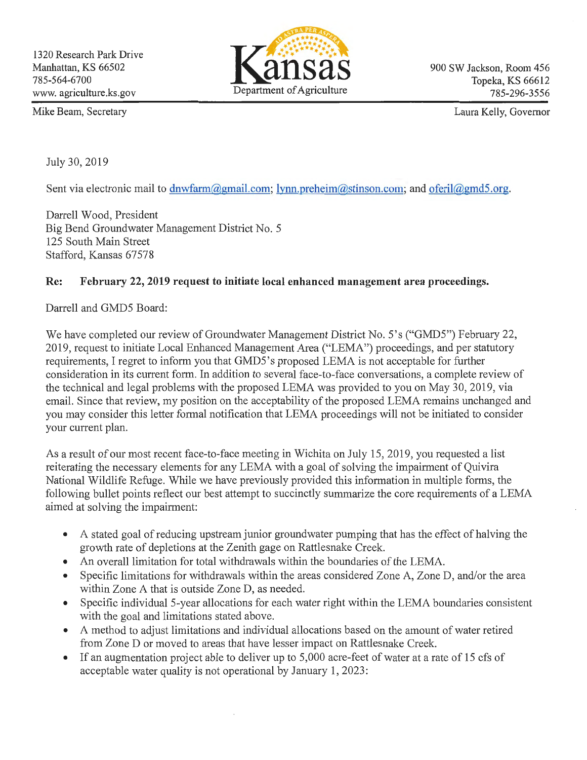

900 SW Jackson, Room 456 Topeka, KS 66612 785-296-3556

Mike Beam, Secretary

Laura Kelly, Governor

July 30, 2019

Sent via electronic mail to dnwfarm@gmail.com; lynn.preheim@stinson.com; and oferil@gmd5.org.

Darrell Wood, President Big Bend Groundwater Management District No.5 125 South Main Street Stafford, Kansas 67578

## **Re: February** 22, **2019 request to initiate local enhanced management area proceedings.**

Darrell and GMD5 Board:

We have completed our review of Groundwater Management District No.5's ("GMD5") February 22, 2019, request to initiate Local Enhanced Management Area ("LEMA") proceedings, and per statutory requirements, I regret to inform you that GMD5's proposed LEMA is not acceptable for further consideration in its current form. In addition to several face-to-face conversations, a complete review of the technical and legal problems with the proposed LEMA was provided to you on May 30, 2019, via email. Since that review, my position on the acceptability of the proposed LEMA remains unchanged and you may consider this letter formal notification that LEMA proceedings will not be initiated to consider your current plan.

As a result of our most recent face-to-face meeting in Wichita on July 15, 2019, you requested a list reiterating the necessary elements for any LEMA with a goal of solving the impairment of Quivira National Wildlife Refuge. While we have previously provided this information in multiple forms, the following bullet points reflect our best attempt to succinctly summarize the core requirements of a LEMA aimed at solving the impairment:

- A stated goal of reducing upstream junior groundwater pumping that has the effect of halving the growth rate of depletions at the Zenith gage on Rattlesnake Creek.
- An overall limitation for total withdrawals within the boundaries of the LEMA.
- Specific limitations for withdrawals within the areas considered Zone A, Zone D, and/or the area within Zone A that is outside Zone D, as needed.
- Specific individual 5-year allocations for each water right within the LEMA boundaries consistent with the goal and limitations stated above.
- A method to adjust limitations and individual allocations based on the amount of water retired from Zone D or moved to areas that have lesser impact on Rattlesnake Creek.
- If an augmentation project able to deliver up to 5,000 acre-feet of water at a rate of 15 cfs of acceptable water quality is not operational by January 1, 2023: